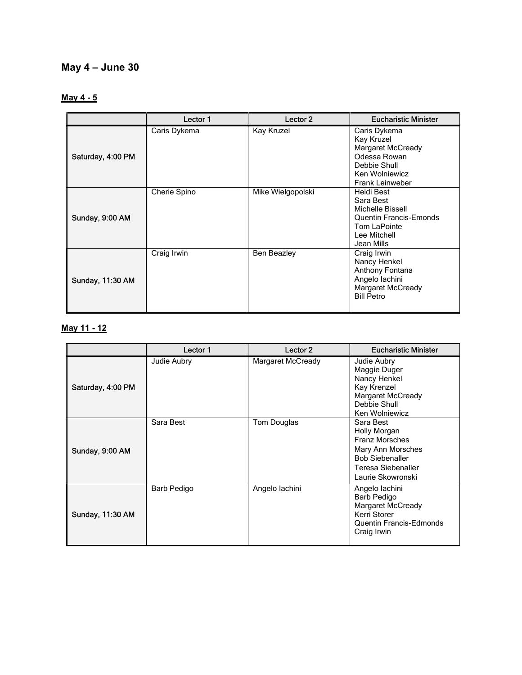# May 4 – June 30

# May 4 - 5

|                   | Lector 1     | Lector 2           | <b>Eucharistic Minister</b>                                                                                                        |
|-------------------|--------------|--------------------|------------------------------------------------------------------------------------------------------------------------------------|
| Saturday, 4:00 PM | Caris Dykema | Kay Kruzel         | Caris Dykema<br>Kay Kruzel<br><b>Margaret McCready</b><br>Odessa Rowan<br>Debbie Shull<br>Ken Wolniewicz<br><b>Frank Leinweber</b> |
| Sunday, 9:00 AM   | Cherie Spino | Mike Wielgopolski  | Heidi Best<br>Sara Best<br>Michelle Bissell<br><b>Quentin Francis-Emonds</b><br>Tom LaPointe<br>Lee Mitchell<br>Jean Mills         |
| Sunday, 11:30 AM  | Craig Irwin  | <b>Ben Beazley</b> | Craig Irwin<br>Nancy Henkel<br>Anthony Fontana<br>Angelo lachini<br>Margaret McCready<br><b>Bill Petro</b>                         |

### May 11 - 12

|                   | Lector 1    | Lector <sub>2</sub> | <b>Eucharistic Minister</b>                                                                                                                  |
|-------------------|-------------|---------------------|----------------------------------------------------------------------------------------------------------------------------------------------|
| Saturday, 4:00 PM | Judie Aubry | Margaret McCready   | Judie Aubry<br>Maggie Duger<br>Nancy Henkel<br>Kay Krenzel<br>Margaret McCready<br>Debbie Shull<br>Ken Wolniewicz                            |
| Sunday, 9:00 AM   | Sara Best   | Tom Douglas         | Sara Best<br>Holly Morgan<br><b>Franz Morsches</b><br>Mary Ann Morsches<br><b>Bob Siebenaller</b><br>Teresa Siebenaller<br>Laurie Skowronski |
| Sunday, 11:30 AM  | Barb Pedigo | Angelo lachini      | Angelo lachini<br>Barb Pedigo<br><b>Margaret McCready</b><br>Kerri Storer<br><b>Quentin Francis-Edmonds</b><br>Craig Irwin                   |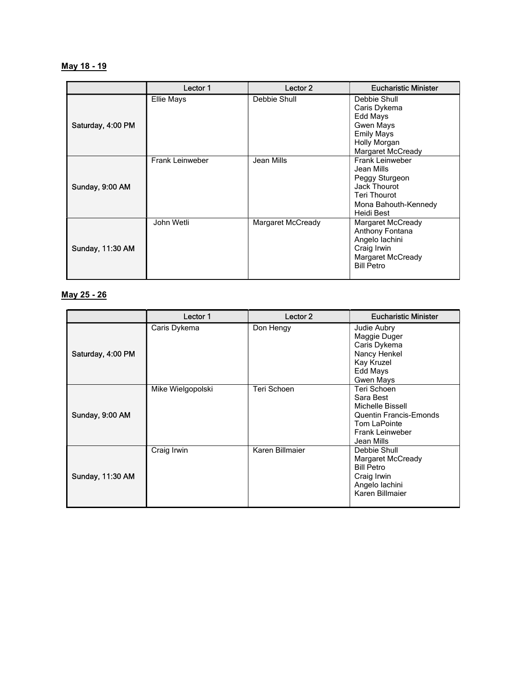#### May 18 - 19

|                   | Lector 1               | Lector 2          | <b>Eucharistic Minister</b>                                                                                                         |
|-------------------|------------------------|-------------------|-------------------------------------------------------------------------------------------------------------------------------------|
| Saturday, 4:00 PM | Ellie Mays             | Debbie Shull      | Debbie Shull<br>Caris Dykema<br>Edd Mays<br><b>Gwen Mays</b><br><b>Emily Mays</b><br>Holly Morgan<br>Margaret McCready              |
| Sunday, 9:00 AM   | <b>Frank Leinweber</b> | Jean Mills        | <b>Frank Leinweber</b><br>Jean Mills<br>Peggy Sturgeon<br>Jack Thourot<br><b>Teri Thourot</b><br>Mona Bahouth-Kennedy<br>Heidi Best |
| Sunday, 11:30 AM  | John Wetli             | Margaret McCready | Margaret McCready<br>Anthony Fontana<br>Angelo lachini<br>Craig Irwin<br>Margaret McCready<br><b>Bill Petro</b>                     |

#### May 25 - 26

|                   | Lector 1          | Lector 2        | <b>Eucharistic Minister</b>                                                                                                           |
|-------------------|-------------------|-----------------|---------------------------------------------------------------------------------------------------------------------------------------|
| Saturday, 4:00 PM | Caris Dykema      | Don Hengy       | Judie Aubry<br>Maggie Duger<br>Caris Dykema<br>Nancy Henkel<br>Kay Kruzel<br>Edd Mays<br>Gwen Mays                                    |
| Sunday, 9:00 AM   | Mike Wielgopolski | Teri Schoen     | Teri Schoen<br>Sara Best<br>Michelle Bissell<br><b>Quentin Francis-Emonds</b><br>Tom LaPointe<br><b>Frank Leinweber</b><br>Jean Mills |
| Sunday, 11:30 AM  | Craig Irwin       | Karen Billmaier | Debbie Shull<br>Margaret McCready<br><b>Bill Petro</b><br>Craig Irwin<br>Angelo lachini<br>Karen Billmaier                            |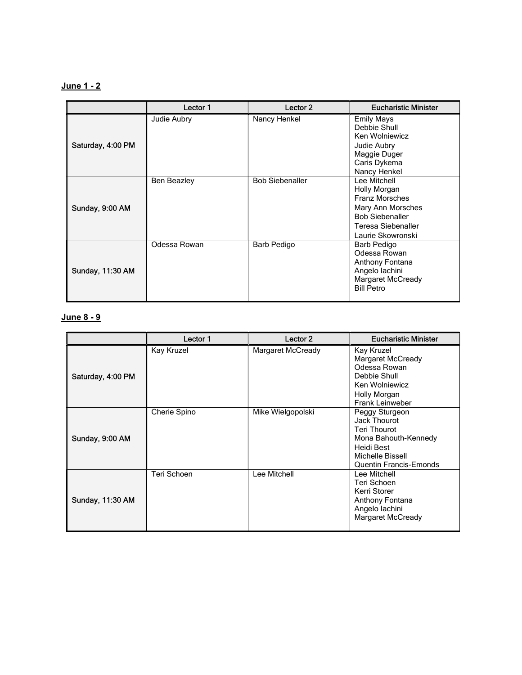### June 1 - 2

|                   | Lector 1           | Lector <sub>2</sub>    | <b>Eucharistic Minister</b>                                                                                                                     |
|-------------------|--------------------|------------------------|-------------------------------------------------------------------------------------------------------------------------------------------------|
| Saturday, 4:00 PM | Judie Aubry        | Nancy Henkel           | <b>Emily Mays</b><br>Debbie Shull<br>Ken Wolniewicz<br>Judie Aubry<br>Maggie Duger<br>Caris Dykema<br>Nancy Henkel                              |
| Sunday, 9:00 AM   | <b>Ben Beazley</b> | <b>Bob Siebenaller</b> | Lee Mitchell<br>Holly Morgan<br><b>Franz Morsches</b><br>Mary Ann Morsches<br><b>Bob Siebenaller</b><br>Teresa Siebenaller<br>Laurie Skowronski |
| Sunday, 11:30 AM  | Odessa Rowan       | Barb Pedigo            | Barb Pedigo<br>Odessa Rowan<br>Anthony Fontana<br>Angelo lachini<br>Margaret McCready<br><b>Bill Petro</b>                                      |

# June 8 - 9

|                   | Lector 1     | Lector 2          | <b>Eucharistic Minister</b>                                                                                                                      |
|-------------------|--------------|-------------------|--------------------------------------------------------------------------------------------------------------------------------------------------|
| Saturday, 4:00 PM | Kay Kruzel   | Margaret McCready | Kay Kruzel<br>Margaret McCready<br>Odessa Rowan<br>Debbie Shull<br>Ken Wolniewicz<br>Holly Morgan<br><b>Frank Leinweber</b>                      |
| Sunday, 9:00 AM   | Cherie Spino | Mike Wielgopolski | Peggy Sturgeon<br>Jack Thourot<br><b>Teri Thourot</b><br>Mona Bahouth-Kennedy<br>Heidi Best<br>Michelle Bissell<br><b>Quentin Francis-Emonds</b> |
| Sunday, 11:30 AM  | Teri Schoen  | Lee Mitchell      | Lee Mitchell<br>Teri Schoen<br>Kerri Storer<br>Anthony Fontana<br>Angelo lachini<br>Margaret McCready                                            |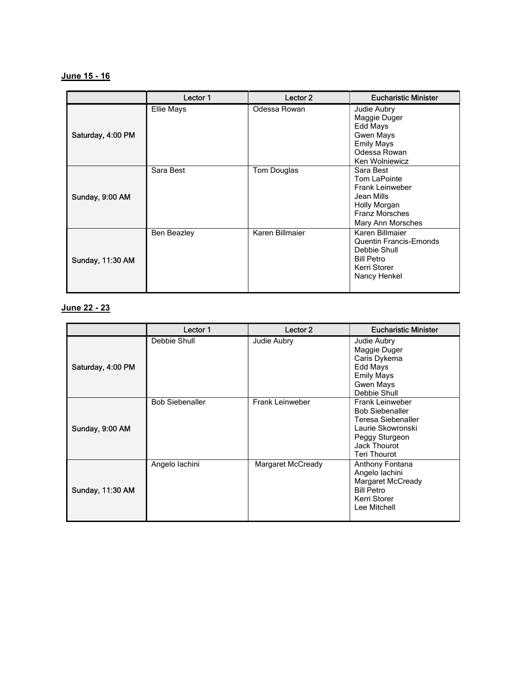### June 15 - 16

|                   | Lector 1           | Lector <sub>2</sub> | <b>Eucharistic Minister</b>                                                                                                     |
|-------------------|--------------------|---------------------|---------------------------------------------------------------------------------------------------------------------------------|
| Saturday, 4:00 PM | <b>Ellie Mays</b>  | Odessa Rowan        | Judie Aubry<br>Maggie Duger<br>Edd Mays<br><b>Gwen Mays</b><br><b>Emily Mays</b><br>Odessa Rowan<br>Ken Wolniewicz              |
| Sunday, 9:00 AM   | Sara Best          | Tom Douglas         | Sara Best<br>Tom LaPointe<br><b>Frank Leinweber</b><br>Jean Mills<br>Holly Morgan<br><b>Franz Morsches</b><br>Mary Ann Morsches |
| Sunday, 11:30 AM  | <b>Ben Beazley</b> | Karen Billmaier     | Karen Billmaier<br><b>Quentin Francis-Emonds</b><br>Debbie Shull<br><b>Bill Petro</b><br>Kerri Storer<br>Nancy Henkel           |

# June 22 - 23

|                   | Lector 1               | Lector <sub>2</sub>    | <b>Eucharistic Minister</b>                                                                                                                          |
|-------------------|------------------------|------------------------|------------------------------------------------------------------------------------------------------------------------------------------------------|
| Saturday, 4:00 PM | Debbie Shull           | Judie Aubry            | Judie Aubry<br>Maggie Duger<br>Caris Dykema<br>Edd Mays<br><b>Emily Mays</b><br><b>Gwen Mays</b><br>Debbie Shull                                     |
| Sunday, 9:00 AM   | <b>Bob Siebenaller</b> | <b>Frank Leinweber</b> | <b>Frank Leinweber</b><br><b>Bob Siebenaller</b><br>Teresa Siebenaller<br>Laurie Skowronski<br>Peggy Sturgeon<br>Jack Thourot<br><b>Teri Thourot</b> |
| Sunday, 11:30 AM  | Angelo lachini         | Margaret McCready      | Anthony Fontana<br>Angelo lachini<br>Margaret McCready<br><b>Bill Petro</b><br>Kerri Storer<br>Lee Mitchell                                          |